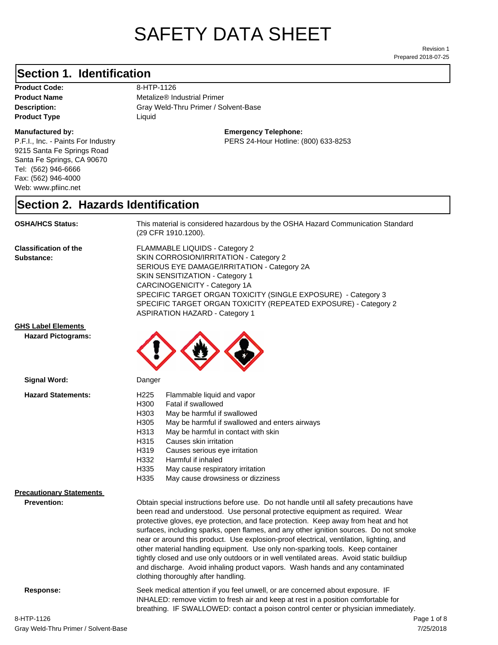# SAFETY DATA SHEET

Prepared 2018-07-25 Revision 1

## **Section 1. Identification**

Product Code: 8-HTP-1126 **Product Type Liquid Liquid** 

#### **Manufactured by:**

P.F.I., Inc. - Paints For Industry 9215 Santa Fe Springs Road Santa Fe Springs, CA 90670 Tel: (562) 946-6666 Fax: (562) 946-4000 Web: www.pfiinc.net

**Description:** Gray Weld-Thru Primer / Solvent-Base **Product Name** Metalize<sup>®</sup> Industrial Primer

**Emergency Telephone:**

PERS 24-Hour Hotline: (800) 633-8253

### **Section 2. Hazards Identification**

**OSHA/HCS Status:** This material is considered hazardous by the OSHA Hazard Communication Standard (29 CFR 1910.1200).

**Classification of the Substance:**

FLAMMABLE LIQUIDS - Category 2 SKIN CORROSION/IRRITATION - Category 2 SERIOUS EYE DAMAGE/IRRITATION - Category 2A SKIN SENSITIZATION - Category 1 CARCINOGENICITY - Category 1A SPECIFIC TARGET ORGAN TOXICITY (SINGLE EXPOSURE) - Category 3 SPECIFIC TARGET ORGAN TOXICITY (REPEATED EXPOSURE) - Category 2 ASPIRATION HAZARD - Category 1

#### **GHS Label Elements**

**Signal Word:**

**Hazard Pictograms:**



| <b>Hazard Statements:</b>       | H <sub>225</sub><br>Flammable liquid and vapor<br>H300<br>Fatal if swallowed<br>H303<br>May be harmful if swallowed<br>H305<br>May be harmful if swallowed and enters airways<br>H313<br>May be harmful in contact with skin<br>H315<br>Causes skin irritation<br>H319<br>Causes serious eye irritation<br>H332<br>Harmful if inhaled<br>H335<br>May cause respiratory irritation<br>H335<br>May cause drowsiness or dizziness                                                                                                                                                                                                                                                                                                                           |  |
|---------------------------------|----------------------------------------------------------------------------------------------------------------------------------------------------------------------------------------------------------------------------------------------------------------------------------------------------------------------------------------------------------------------------------------------------------------------------------------------------------------------------------------------------------------------------------------------------------------------------------------------------------------------------------------------------------------------------------------------------------------------------------------------------------|--|
| <b>Precautionary Statements</b> |                                                                                                                                                                                                                                                                                                                                                                                                                                                                                                                                                                                                                                                                                                                                                          |  |
| <b>Prevention:</b>              | Obtain special instructions before use. Do not handle until all safety precautions have<br>been read and understood. Use personal protective equipment as required. Wear<br>protective gloves, eye protection, and face protection. Keep away from heat and hot<br>surfaces, including sparks, open flames, and any other ignition sources. Do not smoke<br>near or around this product. Use explosion-proof electrical, ventilation, lighting, and<br>other material handling equipment. Use only non-sparking tools. Keep container<br>tightly closed and use only outdoors or in well ventilated areas. Avoid static buildiup<br>and discharge. Avoid inhaling product vapors. Wash hands and any contaminated<br>clothing thoroughly after handling. |  |
| Response:                       | Seek medical attention if you feel unwell, or are concerned about exposure. IF<br>INHALED: remove victim to fresh air and keep at rest in a position comfortable for<br>breathing. IF SWALLOWED: contact a poison control center or physician immediately.                                                                                                                                                                                                                                                                                                                                                                                                                                                                                               |  |

7/25/2018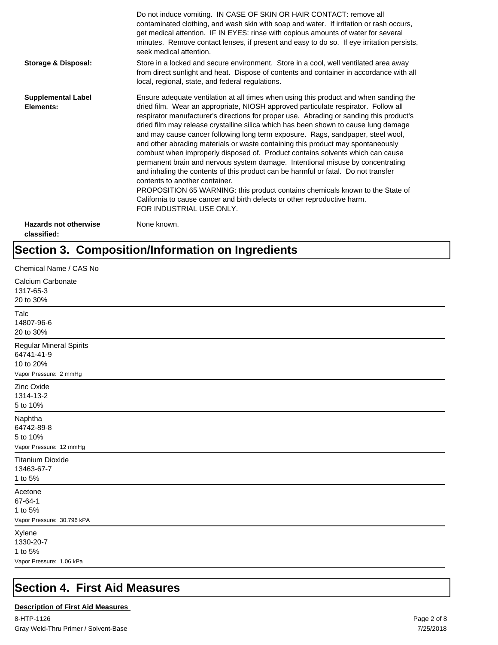|                                             | Do not induce vomiting. IN CASE OF SKIN OR HAIR CONTACT: remove all<br>contaminated clothing, and wash skin with soap and water. If irritation or rash occurs,<br>get medical attention. IF IN EYES: rinse with copious amounts of water for several<br>minutes. Remove contact lenses, if present and easy to do so. If eye irritation persists,<br>seek medical attention.                                                                                                                                                                                                                                                                                                                                                                                                                                                                                                                                                                                                                                             |
|---------------------------------------------|--------------------------------------------------------------------------------------------------------------------------------------------------------------------------------------------------------------------------------------------------------------------------------------------------------------------------------------------------------------------------------------------------------------------------------------------------------------------------------------------------------------------------------------------------------------------------------------------------------------------------------------------------------------------------------------------------------------------------------------------------------------------------------------------------------------------------------------------------------------------------------------------------------------------------------------------------------------------------------------------------------------------------|
| <b>Storage &amp; Disposal:</b>              | Store in a locked and secure environment. Store in a cool, well ventilated area away<br>from direct sunlight and heat. Dispose of contents and container in accordance with all<br>local, regional, state, and federal regulations.                                                                                                                                                                                                                                                                                                                                                                                                                                                                                                                                                                                                                                                                                                                                                                                      |
| <b>Supplemental Label</b><br>Elements:      | Ensure adequate ventilation at all times when using this product and when sanding the<br>dried film. Wear an appropriate, NIOSH approved particulate respirator. Follow all<br>respirator manufacturer's directions for proper use. Abrading or sanding this product's<br>dried film may release crystalline silica which has been shown to cause lung damage<br>and may cause cancer following long term exposure. Rags, sandpaper, steel wool,<br>and other abrading materials or waste containing this product may spontaneously<br>combust when improperly disposed of. Product contains solvents which can cause<br>permanent brain and nervous system damage. Intentional misuse by concentrating<br>and inhaling the contents of this product can be harmful or fatal. Do not transfer<br>contents to another container.<br>PROPOSITION 65 WARNING: this product contains chemicals known to the State of<br>California to cause cancer and birth defects or other reproductive harm.<br>FOR INDUSTRIAL USE ONLY. |
| <b>Hazards not otherwise</b><br>classified: | None known.                                                                                                                                                                                                                                                                                                                                                                                                                                                                                                                                                                                                                                                                                                                                                                                                                                                                                                                                                                                                              |

## **Section 3. Composition/Information on Ingredients**

| Chemical Name / CAS No                                                              |
|-------------------------------------------------------------------------------------|
| Calcium Carbonate<br>1317-65-3<br>20 to 30%                                         |
| Talc<br>14807-96-6<br>20 to 30%                                                     |
| <b>Regular Mineral Spirits</b><br>64741-41-9<br>10 to 20%<br>Vapor Pressure: 2 mmHg |
| Zinc Oxide<br>1314-13-2<br>5 to 10%                                                 |
| Naphtha<br>64742-89-8<br>5 to 10%<br>Vapor Pressure: 12 mmHg                        |
| <b>Titanium Dioxide</b><br>13463-67-7<br>1 to 5%                                    |
| Acetone<br>67-64-1<br>1 to 5%<br>Vapor Pressure: 30.796 kPA                         |
| Xylene<br>1330-20-7<br>1 to 5%<br>Vapor Pressure: 1.06 kPa                          |

## **Section 4. First Aid Measures**

#### **Description of First Aid Measures**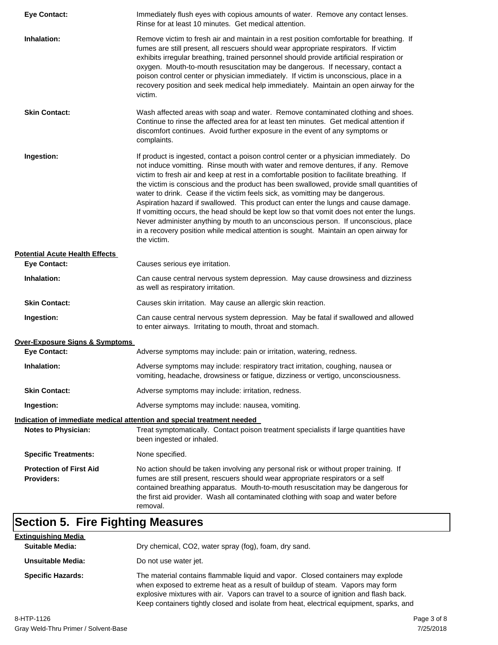| <b>Eye Contact:</b>                                 | Immediately flush eyes with copious amounts of water. Remove any contact lenses.<br>Rinse for at least 10 minutes. Get medical attention.                                                                                                                                                                                                                                                                                                                                                                                                                                                                                                                                                                                                                                                                                             |
|-----------------------------------------------------|---------------------------------------------------------------------------------------------------------------------------------------------------------------------------------------------------------------------------------------------------------------------------------------------------------------------------------------------------------------------------------------------------------------------------------------------------------------------------------------------------------------------------------------------------------------------------------------------------------------------------------------------------------------------------------------------------------------------------------------------------------------------------------------------------------------------------------------|
| Inhalation:                                         | Remove victim to fresh air and maintain in a rest position comfortable for breathing. If<br>fumes are still present, all rescuers should wear appropriate respirators. If victim<br>exhibits irregular breathing, trained personnel should provide artificial respiration or<br>oxygen. Mouth-to-mouth resuscitation may be dangerous. If necessary, contact a<br>poison control center or physician immediately. If victim is unconscious, place in a<br>recovery position and seek medical help immediately. Maintain an open airway for the<br>victim.                                                                                                                                                                                                                                                                             |
| <b>Skin Contact:</b>                                | Wash affected areas with soap and water. Remove contaminated clothing and shoes.<br>Continue to rinse the affected area for at least ten minutes. Get medical attention if<br>discomfort continues. Avoid further exposure in the event of any symptoms or<br>complaints.                                                                                                                                                                                                                                                                                                                                                                                                                                                                                                                                                             |
| Ingestion:                                          | If product is ingested, contact a poison control center or a physician immediately. Do<br>not induce vomitting. Rinse mouth with water and remove dentures, if any. Remove<br>victim to fresh air and keep at rest in a comfortable position to facilitate breathing. If<br>the victim is conscious and the product has been swallowed, provide small quantities of<br>water to drink. Cease if the victim feels sick, as vomitting may be dangerous.<br>Aspiration hazard if swallowed. This product can enter the lungs and cause damage.<br>If vomitting occurs, the head should be kept low so that vomit does not enter the lungs.<br>Never administer anything by mouth to an unconscious person. If unconscious, place<br>in a recovery position while medical attention is sought. Maintain an open airway for<br>the victim. |
| <b>Potential Acute Health Effects</b>               |                                                                                                                                                                                                                                                                                                                                                                                                                                                                                                                                                                                                                                                                                                                                                                                                                                       |
| <b>Eye Contact:</b>                                 | Causes serious eye irritation.                                                                                                                                                                                                                                                                                                                                                                                                                                                                                                                                                                                                                                                                                                                                                                                                        |
| Inhalation:                                         | Can cause central nervous system depression. May cause drowsiness and dizziness<br>as well as respiratory irritation.                                                                                                                                                                                                                                                                                                                                                                                                                                                                                                                                                                                                                                                                                                                 |
| <b>Skin Contact:</b>                                | Causes skin irritation. May cause an allergic skin reaction.                                                                                                                                                                                                                                                                                                                                                                                                                                                                                                                                                                                                                                                                                                                                                                          |
| Ingestion:                                          | Can cause central nervous system depression. May be fatal if swallowed and allowed<br>to enter airways. Irritating to mouth, throat and stomach.                                                                                                                                                                                                                                                                                                                                                                                                                                                                                                                                                                                                                                                                                      |
| Over-Exposure Signs & Symptoms                      |                                                                                                                                                                                                                                                                                                                                                                                                                                                                                                                                                                                                                                                                                                                                                                                                                                       |
| <b>Eye Contact:</b>                                 | Adverse symptoms may include: pain or irritation, watering, redness.                                                                                                                                                                                                                                                                                                                                                                                                                                                                                                                                                                                                                                                                                                                                                                  |
| Inhalation:                                         | Adverse symptoms may include: respiratory tract irritation, coughing, nausea or<br>vomiting, headache, drowsiness or fatigue, dizziness or vertigo, unconsciousness.                                                                                                                                                                                                                                                                                                                                                                                                                                                                                                                                                                                                                                                                  |
| <b>Skin Contact:</b>                                | Adverse symptoms may include: irritation, redness.                                                                                                                                                                                                                                                                                                                                                                                                                                                                                                                                                                                                                                                                                                                                                                                    |
| Ingestion:                                          | Adverse symptoms may include: nausea, vomiting.                                                                                                                                                                                                                                                                                                                                                                                                                                                                                                                                                                                                                                                                                                                                                                                       |
|                                                     | <u>Indication of immediate medical attention and special treatment needed</u>                                                                                                                                                                                                                                                                                                                                                                                                                                                                                                                                                                                                                                                                                                                                                         |
| <b>Notes to Physician:</b>                          | Treat symptomatically. Contact poison treatment specialists if large quantities have<br>been ingested or inhaled.                                                                                                                                                                                                                                                                                                                                                                                                                                                                                                                                                                                                                                                                                                                     |
| <b>Specific Treatments:</b>                         | None specified.                                                                                                                                                                                                                                                                                                                                                                                                                                                                                                                                                                                                                                                                                                                                                                                                                       |
| <b>Protection of First Aid</b><br><b>Providers:</b> | No action should be taken involving any personal risk or without proper training. If<br>fumes are still present, rescuers should wear appropriate respirators or a self<br>contained breathing apparatus. Mouth-to-mouth resuscitation may be dangerous for<br>the first aid provider. Wash all contaminated clothing with soap and water before<br>removal.                                                                                                                                                                                                                                                                                                                                                                                                                                                                          |

| <b>Extinguishing Media</b> |                                                                                                                                                                                                                                                                                                                                                       |
|----------------------------|-------------------------------------------------------------------------------------------------------------------------------------------------------------------------------------------------------------------------------------------------------------------------------------------------------------------------------------------------------|
| <b>Suitable Media:</b>     | Dry chemical, CO2, water spray (fog), foam, dry sand.                                                                                                                                                                                                                                                                                                 |
| Unsuitable Media:          | Do not use water jet.                                                                                                                                                                                                                                                                                                                                 |
| <b>Specific Hazards:</b>   | The material contains flammable liquid and vapor. Closed containers may explode<br>when exposed to extreme heat as a result of buildup of steam. Vapors may form<br>explosive mixtures with air. Vapors can travel to a source of ignition and flash back.<br>Keep containers tightly closed and isolate from heat, electrical equipment, sparks, and |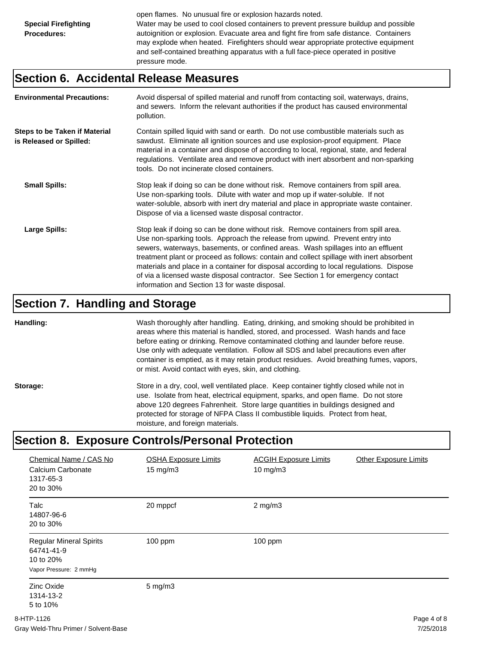open flames. No unusual fire or explosion hazards noted. Water may be used to cool closed containers to prevent pressure buildup and possible autoignition or explosion. Evacuate area and fight fire from safe distance. Containers may explode when heated. Firefighters should wear appropriate protective equipment and self-contained breathing apparatus with a full face-piece operated in positive pressure mode.

#### **Section 6. Accidental Release Measures**

| <b>Environmental Precautions:</b>                               | Avoid dispersal of spilled material and runoff from contacting soil, waterways, drains,<br>and sewers. Inform the relevant authorities if the product has caused environmental<br>pollution.                                                                                                                                                                                                                                                                                                                                                                                        |
|-----------------------------------------------------------------|-------------------------------------------------------------------------------------------------------------------------------------------------------------------------------------------------------------------------------------------------------------------------------------------------------------------------------------------------------------------------------------------------------------------------------------------------------------------------------------------------------------------------------------------------------------------------------------|
| <b>Steps to be Taken if Material</b><br>is Released or Spilled: | Contain spilled liquid with sand or earth. Do not use combustible materials such as<br>sawdust. Eliminate all ignition sources and use explosion-proof equipment. Place<br>material in a container and dispose of according to local, regional, state, and federal<br>regulations. Ventilate area and remove product with inert absorbent and non-sparking<br>tools. Do not incinerate closed containers.                                                                                                                                                                           |
| <b>Small Spills:</b>                                            | Stop leak if doing so can be done without risk. Remove containers from spill area.<br>Use non-sparking tools. Dilute with water and mop up if water-soluble. If not<br>water-soluble, absorb with inert dry material and place in appropriate waste container.<br>Dispose of via a licensed waste disposal contractor.                                                                                                                                                                                                                                                              |
| Large Spills:                                                   | Stop leak if doing so can be done without risk. Remove containers from spill area.<br>Use non-sparking tools. Approach the release from upwind. Prevent entry into<br>sewers, waterways, basements, or confined areas. Wash spillages into an effluent<br>treatment plant or proceed as follows: contain and collect spillage with inert absorbent<br>materials and place in a container for disposal according to local regulations. Dispose<br>of via a licensed waste disposal contractor. See Section 1 for emergency contact<br>information and Section 13 for waste disposal. |

#### **Section 7. Handling and Storage**

**Handling:** Wash thoroughly after handling. Eating, drinking, and smoking should be prohibited in areas where this material is handled, stored, and processed. Wash hands and face before eating or drinking. Remove contaminated clothing and launder before reuse. Use only with adequate ventilation. Follow all SDS and label precautions even after container is emptied, as it may retain product residues. Avoid breathing fumes, vapors, or mist. Avoid contact with eyes, skin, and clothing.

Storage: Store in a dry, cool, well ventilated place. Keep container tightly closed while not in use. Isolate from heat, electrical equipment, sparks, and open flame. Do not store above 120 degrees Fahrenheit. Store large quantities in buildings designed and protected for storage of NFPA Class II combustible liquids. Protect from heat, moisture, and foreign materials.

### **Section 8. Exposure Controls/Personal Protection**

| Chemical Name / CAS No<br>Calcium Carbonate<br>1317-65-3<br>20 to 30%               | <b>OSHA Exposure Limits</b><br>$15 \text{ mg/m}$ | <b>ACGIH Exposure Limits</b><br>10 mg/m $3$ | <b>Other Exposure Limits</b> |
|-------------------------------------------------------------------------------------|--------------------------------------------------|---------------------------------------------|------------------------------|
| <b>Talc</b><br>14807-96-6<br>20 to 30%                                              | 20 mppcf                                         | $2$ mg/m $3$                                |                              |
| <b>Regular Mineral Spirits</b><br>64741-41-9<br>10 to 20%<br>Vapor Pressure: 2 mmHg | 100 ppm                                          | $100$ ppm                                   |                              |
| Zinc Oxide<br>1314-13-2<br>5 to 10%                                                 | $5 \text{ mg/m}$ 3                               |                                             |                              |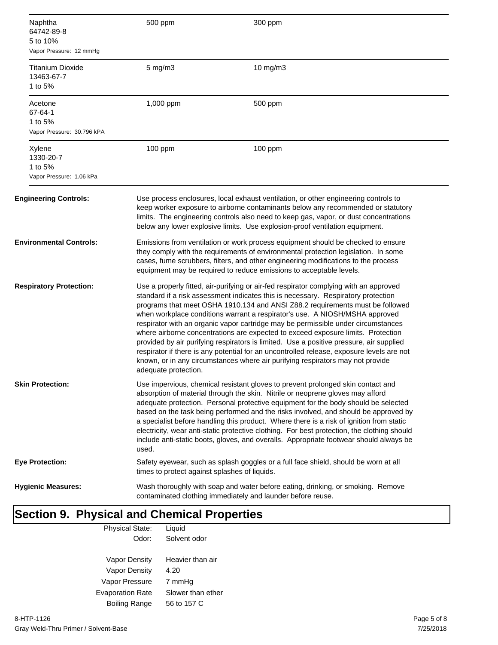| Naphtha<br>64742-89-8<br>5 to 10%<br>Vapor Pressure: 12 mmHg | 500 ppm                                                                                                                                                                                                                                                                                                                                                                                                                                                                                                                                                                                                                                                                                                                                                                                                               | 300 ppm  |
|--------------------------------------------------------------|-----------------------------------------------------------------------------------------------------------------------------------------------------------------------------------------------------------------------------------------------------------------------------------------------------------------------------------------------------------------------------------------------------------------------------------------------------------------------------------------------------------------------------------------------------------------------------------------------------------------------------------------------------------------------------------------------------------------------------------------------------------------------------------------------------------------------|----------|
| <b>Titanium Dioxide</b><br>13463-67-7<br>1 to 5%             | $5$ mg/m $3$                                                                                                                                                                                                                                                                                                                                                                                                                                                                                                                                                                                                                                                                                                                                                                                                          | 10 mg/m3 |
| Acetone<br>67-64-1<br>1 to 5%<br>Vapor Pressure: 30.796 kPA  | 1,000 ppm                                                                                                                                                                                                                                                                                                                                                                                                                                                                                                                                                                                                                                                                                                                                                                                                             | 500 ppm  |
| Xylene<br>1330-20-7<br>1 to 5%<br>Vapor Pressure: 1.06 kPa   | 100 ppm                                                                                                                                                                                                                                                                                                                                                                                                                                                                                                                                                                                                                                                                                                                                                                                                               | 100 ppm  |
| <b>Engineering Controls:</b>                                 | Use process enclosures, local exhaust ventilation, or other engineering controls to<br>keep worker exposure to airborne contaminants below any recommended or statutory<br>limits. The engineering controls also need to keep gas, vapor, or dust concentrations<br>below any lower explosive limits. Use explosion-proof ventilation equipment.                                                                                                                                                                                                                                                                                                                                                                                                                                                                      |          |
| <b>Environmental Controls:</b>                               | Emissions from ventilation or work process equipment should be checked to ensure<br>they comply with the requirements of environmental protection legislation. In some<br>cases, fume scrubbers, filters, and other engineering modifications to the process<br>equipment may be required to reduce emissions to acceptable levels.                                                                                                                                                                                                                                                                                                                                                                                                                                                                                   |          |
| <b>Respiratory Protection:</b>                               | Use a properly fitted, air-purifying or air-fed respirator complying with an approved<br>standard if a risk assessment indicates this is necessary. Respiratory protection<br>programs that meet OSHA 1910.134 and ANSI Z88.2 requirements must be followed<br>when workplace conditions warrant a respirator's use. A NIOSH/MSHA approved<br>respirator with an organic vapor cartridge may be permissible under circumstances<br>where airborne concentrations are expected to exceed exposure limits. Protection<br>provided by air purifying respirators is limited. Use a positive pressure, air supplied<br>respirator if there is any potential for an uncontrolled release, exposure levels are not<br>known, or in any circumstances where air purifying respirators may not provide<br>adequate protection. |          |
| <b>Skin Protection:</b>                                      | Use impervious, chemical resistant gloves to prevent prolonged skin contact and<br>absorption of material through the skin. Nitrile or neoprene gloves may afford<br>adequate protection. Personal protective equipment for the body should be selected<br>based on the task being performed and the risks involved, and should be approved by<br>a specialist before handling this product. Where there is a risk of ignition from static<br>electricity, wear anti-static protective clothing. For best protection, the clothing should<br>include anti-static boots, gloves, and overalls. Appropriate footwear should always be<br>used.                                                                                                                                                                          |          |
| <b>Eye Protection:</b>                                       | Safety eyewear, such as splash goggles or a full face shield, should be worn at all<br>times to protect against splashes of liquids.                                                                                                                                                                                                                                                                                                                                                                                                                                                                                                                                                                                                                                                                                  |          |
| <b>Hygienic Measures:</b>                                    | Wash thoroughly with soap and water before eating, drinking, or smoking. Remove<br>contaminated clothing immediately and launder before reuse.                                                                                                                                                                                                                                                                                                                                                                                                                                                                                                                                                                                                                                                                        |          |

#### **Section 9. Physical and Chemical Properties** Physical State: Liquid

| Odor:                   | Solvent odor      |
|-------------------------|-------------------|
| Vapor Density           | Heavier than air  |
| Vapor Density           | 4.20              |
| Vapor Pressure          | 7 mmHq            |
| <b>Evaporation Rate</b> | Slower than ether |
| <b>Boiling Range</b>    | 56 to 157 C       |
|                         |                   |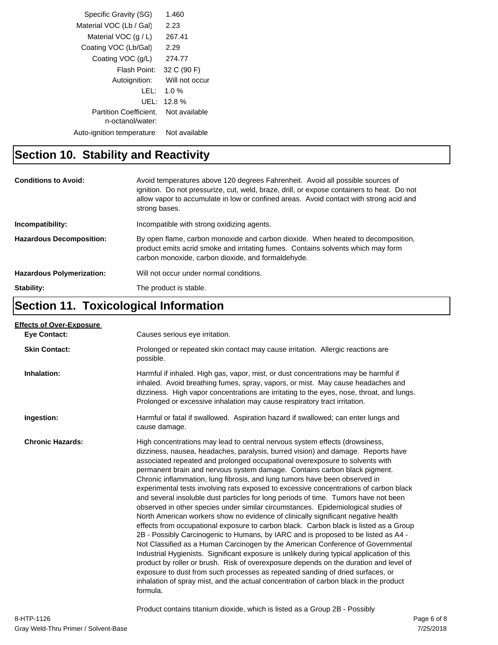| Specific Gravity (SG)         | 1.460          |  |
|-------------------------------|----------------|--|
| Material VOC (Lb / Gal)       | 2.23           |  |
| Material VOC $(q/L)$          | 267.41         |  |
| Coating VOC (Lb/Gal)          | 2.29           |  |
| Coating VOC (g/L)             | 274.77         |  |
| Flash Point:                  | 32 C (90 F)    |  |
| Autoignition:                 | Will not occur |  |
| LEL :                         | 1.0 $%$        |  |
| UEL:                          | 12.8%          |  |
| <b>Partition Coefficient.</b> | Not available  |  |
| n-octanol/water:              |                |  |
| Auto-ignition temperature:    | Not available  |  |

## **Section 10. Stability and Reactivity**

| <b>Conditions to Avoid:</b>      | Avoid temperatures above 120 degrees Fahrenheit. Avoid all possible sources of<br>ignition. Do not pressurize, cut, weld, braze, drill, or expose containers to heat. Do not<br>allow vapor to accumulate in low or confined areas. Avoid contact with strong acid and<br>strong bases. |
|----------------------------------|-----------------------------------------------------------------------------------------------------------------------------------------------------------------------------------------------------------------------------------------------------------------------------------------|
| Incompatibility:                 | Incompatible with strong oxidizing agents.                                                                                                                                                                                                                                              |
| <b>Hazardous Decomposition:</b>  | By open flame, carbon monoxide and carbon dioxide. When heated to decomposition,<br>product emits acrid smoke and irritating fumes. Contains solvents which may form<br>carbon monoxide, carbon dioxide, and formaldehyde.                                                              |
| <b>Hazardous Polymerization:</b> | Will not occur under normal conditions.                                                                                                                                                                                                                                                 |
| Stability:                       | The product is stable.                                                                                                                                                                                                                                                                  |

## **Section 11. Toxicological Information**

| <b>Effects of Over-Exposure</b> |                                                                                                                                                                                                                                                                                                                                                                                                                                                                                                                                                                                                                                                                                                                                                                                                                                                                                                                                                                                                                                                                                                                                                                                                                                                                                                                                                                                                                      |
|---------------------------------|----------------------------------------------------------------------------------------------------------------------------------------------------------------------------------------------------------------------------------------------------------------------------------------------------------------------------------------------------------------------------------------------------------------------------------------------------------------------------------------------------------------------------------------------------------------------------------------------------------------------------------------------------------------------------------------------------------------------------------------------------------------------------------------------------------------------------------------------------------------------------------------------------------------------------------------------------------------------------------------------------------------------------------------------------------------------------------------------------------------------------------------------------------------------------------------------------------------------------------------------------------------------------------------------------------------------------------------------------------------------------------------------------------------------|
| <b>Eve Contact:</b>             | Causes serious eye irritation.                                                                                                                                                                                                                                                                                                                                                                                                                                                                                                                                                                                                                                                                                                                                                                                                                                                                                                                                                                                                                                                                                                                                                                                                                                                                                                                                                                                       |
| <b>Skin Contact:</b>            | Prolonged or repeated skin contact may cause irritation. Allergic reactions are<br>possible.                                                                                                                                                                                                                                                                                                                                                                                                                                                                                                                                                                                                                                                                                                                                                                                                                                                                                                                                                                                                                                                                                                                                                                                                                                                                                                                         |
| Inhalation:                     | Harmful if inhaled. High gas, vapor, mist, or dust concentrations may be harmful if<br>inhaled. Avoid breathing fumes, spray, vapors, or mist. May cause headaches and<br>dizziness. High vapor concentrations are irritating to the eyes, nose, throat, and lungs.<br>Prolonged or excessive inhalation may cause respiratory tract irritation.                                                                                                                                                                                                                                                                                                                                                                                                                                                                                                                                                                                                                                                                                                                                                                                                                                                                                                                                                                                                                                                                     |
| Ingestion:                      | Harmful or fatal if swallowed. Aspiration hazard if swallowed; can enter lungs and<br>cause damage.                                                                                                                                                                                                                                                                                                                                                                                                                                                                                                                                                                                                                                                                                                                                                                                                                                                                                                                                                                                                                                                                                                                                                                                                                                                                                                                  |
| <b>Chronic Hazards:</b>         | High concentrations may lead to central nervous system effects (drowsiness,<br>dizziness, nausea, headaches, paralysis, burred vision) and damage. Reports have<br>associated repeated and prolonged occupational overexposure to solvents with<br>permanent brain and nervous system damage. Contains carbon black pigment.<br>Chronic inflammation, lung fibrosis, and lung tumors have been observed in<br>experimental tests involving rats exposed to excessive concentrations of carbon black<br>and several insoluble dust particles for long periods of time. Tumors have not been<br>observed in other species under similar circumstances. Epidemiological studies of<br>North American workers show no evidence of clinically significant negative health<br>effects from occupational exposure to carbon black. Carbon black is listed as a Group<br>2B - Possibly Carcinogenic to Humans, by IARC and is proposed to be listed as A4 -<br>Not Classified as a Human Carcinogen by the American Conference of Governmental<br>Industrial Hygienists. Significant exposure is unlikely during typical application of this<br>product by roller or brush. Risk of overexposure depends on the duration and level of<br>exposure to dust from such processes as repeated sanding of dried surfaces, or<br>inhalation of spray mist, and the actual concentration of carbon black in the product<br>formula. |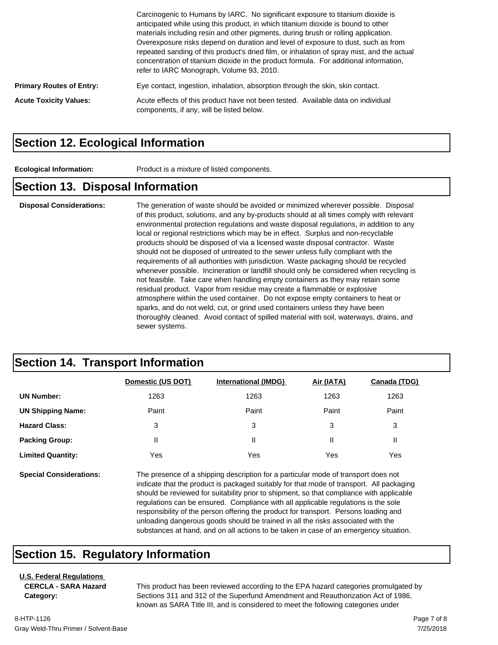|                                 | Carcinogenic to Humans by IARC. No significant exposure to titanium dioxide is<br>anticipated while using this product, in which titanium dioxide is bound to other<br>materials including resin and other pigments, during brush or rolling application.<br>Overexposure risks depend on duration and level of exposure to dust, such as from<br>repeated sanding of this product's dried film, or inhalation of spray mist, and the actual<br>concentration of titanium dioxide in the product formula. For additional information,<br>refer to IARC Monograph, Volume 93, 2010. |
|---------------------------------|------------------------------------------------------------------------------------------------------------------------------------------------------------------------------------------------------------------------------------------------------------------------------------------------------------------------------------------------------------------------------------------------------------------------------------------------------------------------------------------------------------------------------------------------------------------------------------|
| <b>Primary Routes of Entry:</b> | Eye contact, ingestion, inhalation, absorption through the skin, skin contact.                                                                                                                                                                                                                                                                                                                                                                                                                                                                                                     |
| <b>Acute Toxicity Values:</b>   | Acute effects of this product have not been tested. Available data on individual<br>components, if any, will be listed below.                                                                                                                                                                                                                                                                                                                                                                                                                                                      |

#### **Section 12. Ecological Information**

**Ecological Information:** Product is a mixture of listed components.

#### **Section 13. Disposal Information**

**Disposal Considerations:** The generation of waste should be avoided or minimized wherever possible. Disposal of this product, solutions, and any by-products should at all times comply with relevant environmental protection regulations and waste disposal regulations, in addition to any local or regional restrictions which may be in effect. Surplus and non-recyclable products should be disposed of via a licensed waste disposal contractor. Waste should not be disposed of untreated to the sewer unless fully compliant with the requirements of all authorities with jurisdiction. Waste packaging should be recycled whenever possible. Incineration or landfill should only be considered when recycling is not feasible. Take care when handling empty containers as they may retain some residual product. Vapor from residue may create a flammable or explosive atmosphere within the used container. Do not expose empty containers to heat or sparks, and do not weld, cut, or grind used containers unless they have been thoroughly cleaned. Avoid contact of spilled material with soil, waterways, drains, and sewer systems.

### **Section 14. Transport Information**

|                                | Domestic (US DOT)                                                                                                                                                                                                                                                                                                                                                                                                                                          | <b>International (IMDG)</b> | Air (IATA) | Canada (TDG) |
|--------------------------------|------------------------------------------------------------------------------------------------------------------------------------------------------------------------------------------------------------------------------------------------------------------------------------------------------------------------------------------------------------------------------------------------------------------------------------------------------------|-----------------------------|------------|--------------|
| <b>UN Number:</b>              | 1263                                                                                                                                                                                                                                                                                                                                                                                                                                                       | 1263                        | 1263       | 1263         |
| <b>UN Shipping Name:</b>       | Paint                                                                                                                                                                                                                                                                                                                                                                                                                                                      | Paint                       | Paint      | Paint        |
| <b>Hazard Class:</b>           | 3                                                                                                                                                                                                                                                                                                                                                                                                                                                          | 3                           | 3          | 3            |
| <b>Packing Group:</b>          | Ш                                                                                                                                                                                                                                                                                                                                                                                                                                                          | Ш                           | Ш          | Ш            |
| <b>Limited Quantity:</b>       | Yes                                                                                                                                                                                                                                                                                                                                                                                                                                                        | Yes                         | Yes        | Yes          |
| <b>Special Considerations:</b> | The presence of a shipping description for a particular mode of transport does not<br>indicate that the product is packaged suitably for that mode of transport. All packaging<br>should be reviewed for suitability prior to shipment, so that compliance with applicable<br>requilations can be ensured. Compliance with all applicable requilations is the sole<br>reaponaibility of the neroon offering the product for transport. Derecae loading and |                             |            |              |

responsibility of the person offering the product for transport. Persons loading and unloading dangerous goods should be trained in all the risks associated with the substances at hand, and on all actions to be taken in case of an emergency situation.

### **Section 15. Regulatory Information**

#### **U.S. Federal Regulations CERCLA - SARA Hazard**

**Category:**

This product has been reviewed according to the EPA hazard categories promulgated by Sections 311 and 312 of the Superfund Amendment and Reauthorization Act of 1986, known as SARA Title III, and is considered to meet the following categories under